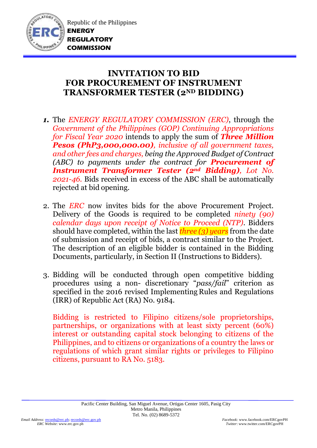

## **INVITATION TO BID FOR PROCUREMENT OF INSTRUMENT TRANSFORMER TESTER (2ND BIDDING)**

- *1.* The *ENERGY REGULATORY COMMISSION (ERC)*, through the *Government of the Philippines (GOP) Continuing Appropriations for Fiscal Year 2020* intends to apply the sum of *Three Million Pesos (PhP3,000,000.00), inclusive of all government taxes, and other fees and charges, being the Approved Budget of Contract (ABC) to payments under the contract for Procurement of Instrument Transformer Tester (2nd Bidding), Lot No. 2021-46.* Bids received in excess of the ABC shall be automatically rejected at bid opening.
- 2. The *ERC* now invites bids for the above Procurement Project. Delivery of the Goods is required to be completed *ninety (90) calendar days upon receipt of Notice to Proceed (NTP).* Bidders should have completed, within the last *three (3) years* from the date of submission and receipt of bids, a contract similar to the Project. The description of an eligible bidder is contained in the Bidding Documents, particularly, in Section II (Instructions to Bidders).
- 3. Bidding will be conducted through open competitive bidding procedures using a non- discretionary "*pass/fail*" criterion as specified in the 2016 revised Implementing Rules and Regulations (IRR) of Republic Act (RA) No. 9184.

Bidding is restricted to Filipino citizens/sole proprietorships, partnerships, or organizations with at least sixty percent (60%) interest or outstanding capital stock belonging to citizens of the Philippines, and to citizens or organizations of a country the laws or regulations of which grant similar rights or privileges to Filipino citizens, pursuant to RA No. 5183.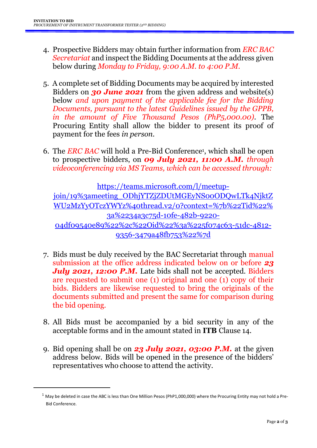- 4. Prospective Bidders may obtain further information from *ERC BAC Secretariat* and inspect the Bidding Documents at the address given below during *Monday to Friday, 9:00 A.M. to 4:00 P.M*.
- 5. A complete set of Bidding Documents may be acquired by interested Bidders on *30 June 2021* from the given address and website(s) below *and upon payment of the applicable fee for the Bidding Documents, pursuant to the latest Guidelines issued by the GPPB, in the amount of Five Thousand Pesos (PhP5,000.00)*. The Procuring Entity shall allow the bidder to present its proof of payment for the fees *in person.*
- 6. The *ERC BAC* will hold a Pre-Bid Conference<sup>1</sup> , which shall be open to prospective bidders, on *09 July 2021, 11:00 A.M. through videoconferencing via MS Teams, which can be accessed through:*

[https://teams.microsoft.com/l/meetup](https://teams.microsoft.com/l/meetup-join/19%3ameeting_ODhjYTZjZDUtMGEyNS00ODQwLTk4NjktZWU2MzYyOTczYWYz%40thread.v2/0?context=%7b%22Tid%22%3a%2234a3c75d-10fe-482b-9220-04df09540e89%22%2c%22Oid%22%3a%225f074c63-51dc-4812-9356-3479a48fb753%22%7d)[join/19%3ameeting\\_ODhjYTZjZDUtMGEyNS00ODQwLTk4NjktZ](https://teams.microsoft.com/l/meetup-join/19%3ameeting_ODhjYTZjZDUtMGEyNS00ODQwLTk4NjktZWU2MzYyOTczYWYz%40thread.v2/0?context=%7b%22Tid%22%3a%2234a3c75d-10fe-482b-9220-04df09540e89%22%2c%22Oid%22%3a%225f074c63-51dc-4812-9356-3479a48fb753%22%7d) [WU2MzYyOTczYWYz%40thread.v2/0?context=%7b%22Tid%22%](https://teams.microsoft.com/l/meetup-join/19%3ameeting_ODhjYTZjZDUtMGEyNS00ODQwLTk4NjktZWU2MzYyOTczYWYz%40thread.v2/0?context=%7b%22Tid%22%3a%2234a3c75d-10fe-482b-9220-04df09540e89%22%2c%22Oid%22%3a%225f074c63-51dc-4812-9356-3479a48fb753%22%7d) [3a%2234a3c75d-10fe-482b-9220-](https://teams.microsoft.com/l/meetup-join/19%3ameeting_ODhjYTZjZDUtMGEyNS00ODQwLTk4NjktZWU2MzYyOTczYWYz%40thread.v2/0?context=%7b%22Tid%22%3a%2234a3c75d-10fe-482b-9220-04df09540e89%22%2c%22Oid%22%3a%225f074c63-51dc-4812-9356-3479a48fb753%22%7d) [04df09540e89%22%2c%22Oid%22%3a%225f074c63-51dc-4812-](https://teams.microsoft.com/l/meetup-join/19%3ameeting_ODhjYTZjZDUtMGEyNS00ODQwLTk4NjktZWU2MzYyOTczYWYz%40thread.v2/0?context=%7b%22Tid%22%3a%2234a3c75d-10fe-482b-9220-04df09540e89%22%2c%22Oid%22%3a%225f074c63-51dc-4812-9356-3479a48fb753%22%7d) [9356-3479a48fb753%22%7d](https://teams.microsoft.com/l/meetup-join/19%3ameeting_ODhjYTZjZDUtMGEyNS00ODQwLTk4NjktZWU2MzYyOTczYWYz%40thread.v2/0?context=%7b%22Tid%22%3a%2234a3c75d-10fe-482b-9220-04df09540e89%22%2c%22Oid%22%3a%225f074c63-51dc-4812-9356-3479a48fb753%22%7d)

- 7. Bids must be duly received by the BAC Secretariat through manual submission at the office address indicated below on or before *23 July 2021, 12:00 P.M.* Late bids shall not be accepted. Bidders are requested to submit one (1) original and one (1) copy of their bids. Bidders are likewise requested to bring the originals of the documents submitted and present the same for comparison during the bid opening.
- 8. All Bids must be accompanied by a bid security in any of the acceptable forms and in the amount stated in **ITB** Clause 14.
- 9. Bid opening shall be on *23 July 2021, 03:00 P.M.* at the given address below. Bids will be opened in the presence of the bidders' representatives who choose to attend the activity.

**.** 

 $1$  May be deleted in case the ABC is less than One Million Pesos (PhP1,000,000) where the Procuring Entity may not hold a Pre-Bid Conference.